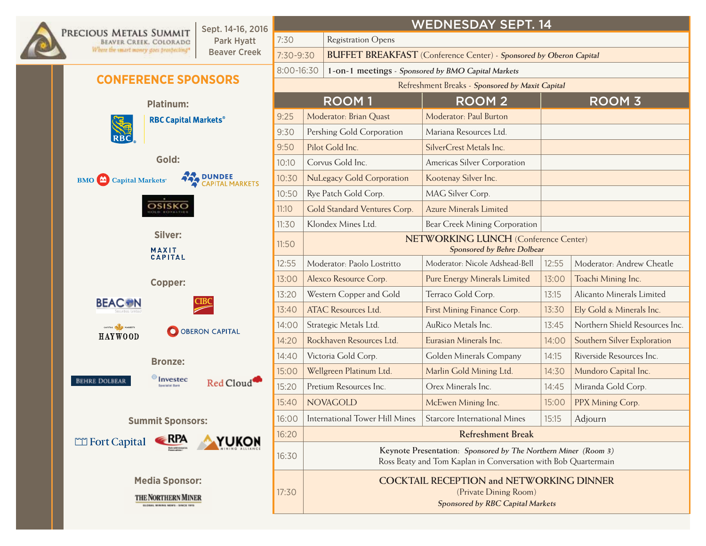

## Park Hyatt Beaver Creek

7:30 | Registration Opens 7:30-9:30 **Buffet Breakfast** (Conference Center) - **Sponsored by Oberon Capital**

## wednesday Sept. 14

8:00-16:30 **1-on-1 meetings** - **Sponsored by BMO Capital Markets**

**CONFERENCE SPONSORS** 

|       | <b>ROOM1</b>                                                                                                                     | <b>ROOM2</b>                        |       | <b>ROOM 3</b>                  |  |  |  |  |  |
|-------|----------------------------------------------------------------------------------------------------------------------------------|-------------------------------------|-------|--------------------------------|--|--|--|--|--|
| 9:25  | Moderator: Brian Quast                                                                                                           | Moderator: Paul Burton              |       |                                |  |  |  |  |  |
| 9:30  | Pershing Gold Corporation                                                                                                        | Mariana Resources Ltd.              |       |                                |  |  |  |  |  |
| 9:50  | Pilot Gold Inc.                                                                                                                  | SilverCrest Metals Inc.             |       |                                |  |  |  |  |  |
| 10:10 | Corvus Gold Inc.                                                                                                                 | Americas Silver Corporation         |       |                                |  |  |  |  |  |
| 10:30 | <b>NuLegacy Gold Corporation</b>                                                                                                 | Kootenay Silver Inc.                |       |                                |  |  |  |  |  |
| 10:50 | Rye Patch Gold Corp.                                                                                                             | MAG Silver Corp.                    |       |                                |  |  |  |  |  |
| 11:10 | Gold Standard Ventures Corp.                                                                                                     | <b>Azure Minerals Limited</b>       |       |                                |  |  |  |  |  |
| 11:30 | Klondex Mines Ltd.                                                                                                               | Bear Creek Mining Corporation       |       |                                |  |  |  |  |  |
| 11:50 | <b>NETWORKING LUNCH (Conference Center)</b><br>Sponsored by Behre Dolbear                                                        |                                     |       |                                |  |  |  |  |  |
| 12:55 | Moderator: Paolo Lostritto                                                                                                       | Moderator: Nicole Adshead-Bell      | 12:55 | Moderator: Andrew Cheatle      |  |  |  |  |  |
| 13:00 | Alexco Resource Corp.                                                                                                            | Pure Energy Minerals Limited        | 13:00 | Toachi Mining Inc.             |  |  |  |  |  |
| 13:20 | Western Copper and Gold                                                                                                          | Terraco Gold Corp.                  | 13:15 | Alicanto Minerals Limited      |  |  |  |  |  |
| 13:40 | <b>ATAC Resources Ltd.</b>                                                                                                       | First Mining Finance Corp.          | 13:30 | Ely Gold & Minerals Inc.       |  |  |  |  |  |
| 14:00 | Strategic Metals Ltd.                                                                                                            | AuRico Metals Inc.                  | 13:45 | Northern Shield Resources Inc. |  |  |  |  |  |
| 14:20 | Rockhaven Resources Ltd.                                                                                                         | Eurasian Minerals Inc.              | 14:00 | Southern Silver Exploration    |  |  |  |  |  |
| 14:40 | Victoria Gold Corp.                                                                                                              | Golden Minerals Company             | 14:15 | Riverside Resources Inc.       |  |  |  |  |  |
| 15:00 | Wellgreen Platinum Ltd.                                                                                                          | Marlin Gold Mining Ltd.             | 14:30 | Mundoro Capital Inc.           |  |  |  |  |  |
| 15:20 | Pretium Resources Inc.                                                                                                           | Orex Minerals Inc.                  | 14:45 | Miranda Gold Corp.             |  |  |  |  |  |
| 15:40 | <b>NOVAGOLD</b>                                                                                                                  | McEwen Mining Inc.                  | 15:00 | PPX Mining Corp.               |  |  |  |  |  |
| 16:00 | <b>International Tower Hill Mines</b>                                                                                            | <b>Starcore International Mines</b> | 15:15 | Adjourn                        |  |  |  |  |  |
| 16:20 | <b>Refreshment Break</b>                                                                                                         |                                     |       |                                |  |  |  |  |  |
| 16:30 | Keynote Presentation: Sponsored by The Northern Miner (Room 3)<br>Ross Beaty and Tom Kaplan in Conversation with Bob Quartermain |                                     |       |                                |  |  |  |  |  |
|       | <b>COCKTAIL RECEPTION and NETWORKING DINNER</b>                                                                                  |                                     |       |                                |  |  |  |  |  |

**RBC Capital Markets®** RBC **Gold:**  DUNDEE<br>CAPITAL MARKETS **BMO** Capital Markets<sup>®</sup> OSISKO **Silver:**  MAXIT<br>CAPITAL **Copper: BEAC®N** CAPITAL AND MARKETS O OBERON CAPITAL HAYWOOD **Bronze:**  $\bigcirc$  Invested BEHRE DOLBEAR Red Cloud<sup>®</sup> **Summit Sponsors:**  RPA Fort Capital **YUKON Media Sponsor:**

**Platinum:** 

THE NORTHERN MINER

17:30

GLOBAL MINING NEWS - SINCE 1915

(Private Dining Room) **Sponsored by RBC Capital Markets**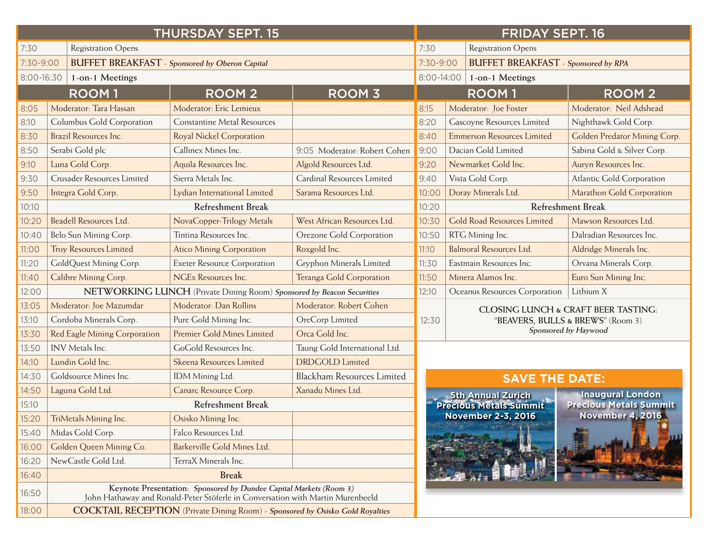|            |                                                       | <b>THURSDAY SEPT. 15</b>                                                                                                                             | <b>FRIDAY SEPT. 16</b>            |                                                     |                                                         |                                   |  |  |  |
|------------|-------------------------------------------------------|------------------------------------------------------------------------------------------------------------------------------------------------------|-----------------------------------|-----------------------------------------------------|---------------------------------------------------------|-----------------------------------|--|--|--|
| 7:30       | <b>Registration Opens</b>                             |                                                                                                                                                      | 7:30<br><b>Registration Opens</b> |                                                     |                                                         |                                   |  |  |  |
| 7:30-9:00  | <b>BUFFET BREAKFAST</b> - Sponsored by Oberon Capital |                                                                                                                                                      |                                   |                                                     | <b>BUFFET BREAKFAST</b> - Sponsored by RPA<br>7:30-9:00 |                                   |  |  |  |
| 8:00-16:30 | 1-on-1 Meetings                                       |                                                                                                                                                      | 8:00-14:00<br>1-on-1 Meetings     |                                                     |                                                         |                                   |  |  |  |
|            | <b>ROOM1</b>                                          | <b>ROOM 2</b><br><b>ROOM 3</b>                                                                                                                       |                                   |                                                     | <b>ROOM1</b>                                            | <b>ROOM2</b>                      |  |  |  |
| 8:05       | Moderator: Tara Hassan                                | Moderator: Eric Lemieux                                                                                                                              |                                   | 8:15                                                | Moderator: Joe Foster                                   | Moderator: Neil Adshead           |  |  |  |
| 8:10       | Columbus Gold Corporation                             | <b>Constantine Metal Resources</b>                                                                                                                   |                                   | 8:20                                                | Gascoyne Resources Limited                              | Nighthawk Gold Corp.              |  |  |  |
| 8:30       | Brazil Resources Inc.                                 | <b>Royal Nickel Corporation</b>                                                                                                                      |                                   | 8:40                                                | <b>Emmerson Resources Limited</b>                       | Golden Predator Mining Corp.      |  |  |  |
| 8:50       | Serabi Gold plc                                       | Callinex Mines Inc.                                                                                                                                  | 9:05 Moderator: Robert Cohen      | 9:00                                                | Dacian Gold Limited                                     | Sabina Gold & Silver Corp.        |  |  |  |
| 9:10       | Luna Gold Corp.                                       | Aquila Resources Inc.                                                                                                                                | Algold Resources Ltd.             | 9:20                                                | Newmarket Gold Inc.                                     | Auryn Resources Inc.              |  |  |  |
| 9:30       | Crusader Resources Limited                            | Sierra Metals Inc.                                                                                                                                   | Cardinal Resources Limited        | 9:40                                                | Vista Gold Corp.                                        | Atlantic Gold Corporation         |  |  |  |
| 9:50       | Integra Gold Corp.                                    | Lydian International Limited                                                                                                                         | Sarama Resources Ltd.             | 10:00                                               | Doray Minerals Ltd.                                     | Marathon Gold Corporation         |  |  |  |
| 10:10      |                                                       | <b>Refreshment Break</b>                                                                                                                             | 10:20                             | <b>Refreshment Break</b>                            |                                                         |                                   |  |  |  |
| 10:20      | <b>Beadell Resources Ltd</b>                          | NovaCopper-Trilogy Metals                                                                                                                            | West African Resources Ltd.       | 10:30                                               | <b>Gold Road Resources Limited</b>                      | Mawson Resources Ltd.             |  |  |  |
| 10:40      | Belo Sun Mining Corp.                                 | Tintina Resources Inc.                                                                                                                               | Orezone Gold Corporation          | 10:50                                               | RTG Mining Inc.                                         | Dalradian Resources Inc.          |  |  |  |
| 11:00      | <b>Troy Resources Limited</b>                         | <b>Atico Mining Corporation</b>                                                                                                                      | Roxgold Inc.                      | 11:10                                               | Balmoral Resources Ltd.                                 | Aldridge Minerals Inc.            |  |  |  |
| 11:20      | GoldQuest Mining Corp.                                | <b>Exeter Resource Corporation</b>                                                                                                                   | Gryphon Minerals Limited          | 11:30                                               | Eastmain Resources Inc.                                 | Orvana Minerals Corp.             |  |  |  |
| 11:40      | Calibre Mining Corp.                                  | <b>NGEx Resources Inc.</b>                                                                                                                           | Teranga Gold Corporation          | 11:50                                               | Minera Alamos Inc.                                      | Euro Sun Mining Inc.              |  |  |  |
| 12:00      |                                                       | NETWORKING LUNCH (Private Dining Room) Sponsored by Beacon Securities                                                                                | 12:10                             | Oceanus Resources Corporation                       | Lithium X                                               |                                   |  |  |  |
| 13:05      | Moderator: Joe Mazumdar                               | Moderator: Dan Rollins                                                                                                                               | Moderator: Robert Cohen           |                                                     | <b>CLOSING LUNCH &amp; CRAFT BEER TASTING:</b>          |                                   |  |  |  |
| 13:10      | Cordoba Minerals Corp.                                | Pure Gold Mining Inc.                                                                                                                                | OreCorp Limited                   | 12:30                                               |                                                         | "BEAVERS, BULLS & BREWS" (Room 3) |  |  |  |
| 13:30      | Red Eagle Mining Corporation                          | Premier Gold Mines Limited                                                                                                                           | Orca Gold Inc.                    |                                                     |                                                         | Sponsored by Haywood              |  |  |  |
| 13:50      | INV Metals Inc.                                       | GoGold Resources Inc.                                                                                                                                | Taung Gold International Ltd.     |                                                     |                                                         |                                   |  |  |  |
| 14:10      | Lundin Gold Inc.                                      | Skeena Resources Limited                                                                                                                             | <b>DRDGOLD</b> Limited            |                                                     |                                                         |                                   |  |  |  |
| 14:30      | Goldsource Mines Inc.                                 | IDM Mining Ltd.                                                                                                                                      | <b>Blackham Resources Limited</b> |                                                     | <b>SAVE THE DATE:</b>                                   |                                   |  |  |  |
| 14:50      | Laguna Gold Ltd.                                      | Canarc Resource Corp.                                                                                                                                | Xanadu Mines Ltd.                 |                                                     |                                                         | <b>Inaugural London</b>           |  |  |  |
| 15:10      |                                                       | <b>Refreshment Break</b>                                                                                                                             |                                   | <b>5th Annual Zurich<br/>Precious Metals Summit</b> | <b>Precious Metals Summit</b>                           |                                   |  |  |  |
| 15:20      | TriMetals Mining Inc.                                 | Osisko Mining Inc.                                                                                                                                   |                                   |                                                     | <b>November 2-3, 2016</b>                               | <b>November 4, 2016</b>           |  |  |  |
| 15:40      | Midas Gold Corp.                                      | Falco Resources Ltd.                                                                                                                                 |                                   |                                                     |                                                         |                                   |  |  |  |
| 16:00      | Golden Queen Mining Co.                               | Barkerville Gold Mines Ltd.                                                                                                                          |                                   |                                                     |                                                         |                                   |  |  |  |
| 16:20      | NewCastle Gold Ltd.                                   | TerraX Minerals Inc.                                                                                                                                 |                                   |                                                     |                                                         |                                   |  |  |  |
| 16:40      |                                                       | <b>Break</b>                                                                                                                                         |                                   |                                                     |                                                         |                                   |  |  |  |
| 16:50      |                                                       | Keynote Presentation: Sponsored by Dundee Capital Markets (Room 3)<br>John Hathaway and Ronald-Peter Stöferle in Conversation with Martin Murenbeeld |                                   |                                                     |                                                         |                                   |  |  |  |
| 18:00      |                                                       | <b>COCKTAIL RECEPTION</b> (Private Dining Room) - Sponsored by Osisko Gold Royalties                                                                 |                                   |                                                     |                                                         |                                   |  |  |  |